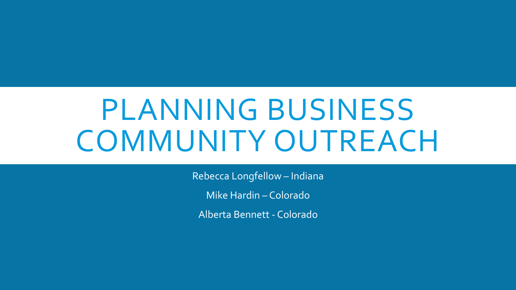# PLANNING BUSINESS COMMUNITY OUTREACH

Rebecca Longfellow – Indiana

Mike Hardin – Colorado

Alberta Bennett - Colorado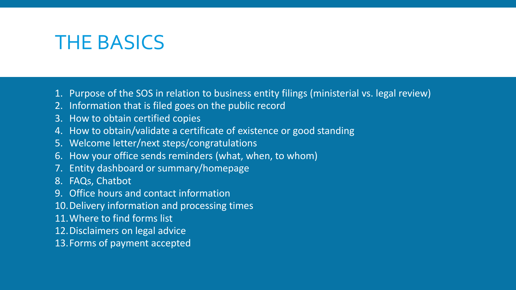### THE BASICS

- 1. Purpose of the SOS in relation to business entity filings (ministerial vs. legal review)
- 2. Information that is filed goes on the public record
- 3. How to obtain certified copies
- 4. How to obtain/validate a certificate of existence or good standing
- 5. Welcome letter/next steps/congratulations
- 6. How your office sends reminders (what, when, to whom)
- 7. Entity dashboard or summary/homepage
- 8. FAQs, Chatbot
- 9. Office hours and contact information
- 10.Delivery information and processing times
- 11.Where to find forms list
- 12.Disclaimers on legal advice
- 13.Forms of payment accepted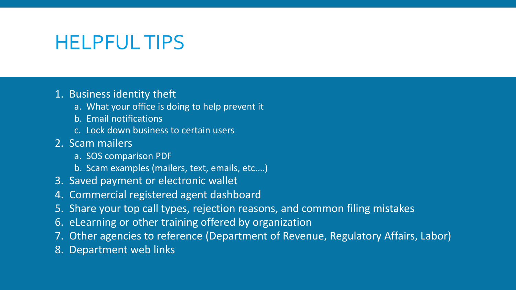## HELPFUL TIPS

### 1. Business identity theft

- a. What your office is doing to help prevent it
- b. Email notifications
- c. Lock down business to certain users
- 2. Scam mailers
	- a. SOS comparison PDF
	- b. Scam examples (mailers, text, emails, etc.…)
- 3. Saved payment or electronic wallet
- 4. Commercial registered agent dashboard
- 5. Share your top call types, rejection reasons, and common filing mistakes
- 6. eLearning or other training offered by organization
- 7. Other agencies to reference (Department of Revenue, Regulatory Affairs, Labor)
- 8. Department web links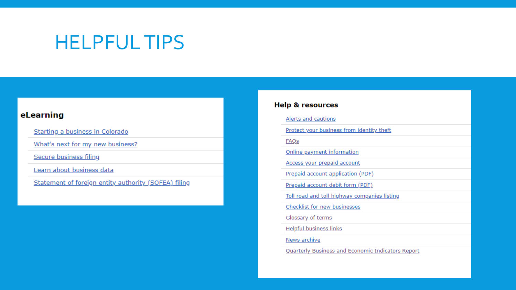### **HELPFUL TIPS**

#### eLearning

Starting a business in Colorado

What's next for my new business?

Secure business filing

Learn about business data

Statement of foreign entity authority (SOFEA) filing

#### **Help & resources**

Alerts and cautions

Protect your business from identity theft

**FAQs** 

Online payment information

Access your prepaid account

Prepaid account application (PDF)

Prepaid account debit form (PDF)

Toll road and toll highway companies listing

Checklist for new businesses

Glossary of terms

**Helpful business links** 

News archive

**Quarterly Business and Economic Indicators Report**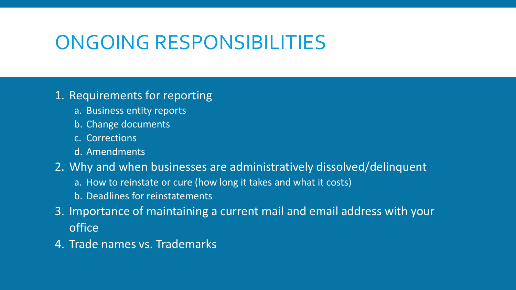# ONGOING RESPONSIBILITIES

### 1. Requirements for reporting

- a. Business entity reports
- b. Change documents
- c. Corrections
- d. Amendments
- 2. Why and when businesses are administratively dissolved/delinquent
	- a. How to reinstate or cure (how long it takes and what it costs)
	- b. Deadlines for reinstatements
- 3. Importance of maintaining a current mail and email address with your office
- 4. Trade names vs. Trademarks